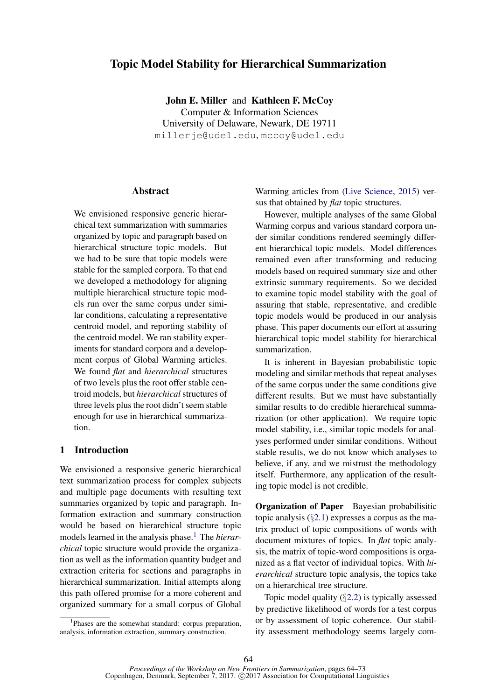# Topic Model Stability for Hierarchical Summarization

John E. Miller and Kathleen F. McCoy Computer & Information Sciences University of Delaware, Newark, DE 19711 millerje@udel.edu, mccoy@udel.edu

# Abstract

We envisioned responsive generic hierarchical text summarization with summaries organized by topic and paragraph based on hierarchical structure topic models. But we had to be sure that topic models were stable for the sampled corpora. To that end we developed a methodology for aligning multiple hierarchical structure topic models run over the same corpus under similar conditions, calculating a representative centroid model, and reporting stability of the centroid model. We ran stability experiments for standard corpora and a development corpus of Global Warming articles. We found *flat* and *hierarchical* structures of two levels plus the root offer stable centroid models, but *hierarchical* structures of three levels plus the root didn't seem stable enough for use in hierarchical summarization.

# 1 Introduction

We envisioned a responsive generic hierarchical text summarization process for complex subjects and multiple page documents with resulting text summaries organized by topic and paragraph. Information extraction and summary construction would be based on hierarchical structure topic models learned in the analysis phase.<sup>1</sup> The *hierarchical* topic structure would provide the organization as well as the information quantity budget and extraction criteria for sections and paragraphs in hierarchical summarization. Initial attempts along this path offered promise for a more coherent and organized summary for a small corpus of Global

Warming articles from (Live Science, 2015) versus that obtained by *flat* topic structures.

However, multiple analyses of the same Global Warming corpus and various standard corpora under similar conditions rendered seemingly different hierarchical topic models. Model differences remained even after transforming and reducing models based on required summary size and other extrinsic summary requirements. So we decided to examine topic model stability with the goal of assuring that stable, representative, and credible topic models would be produced in our analysis phase. This paper documents our effort at assuring hierarchical topic model stability for hierarchical summarization.

It is inherent in Bayesian probabilistic topic modeling and similar methods that repeat analyses of the same corpus under the same conditions give different results. But we must have substantially similar results to do credible hierarchical summarization (or other application). We require topic model stability, i.e., similar topic models for analyses performed under similar conditions. Without stable results, we do not know which analyses to believe, if any, and we mistrust the methodology itself. Furthermore, any application of the resulting topic model is not credible.

**Organization of Paper** Bayesian probabilisitic topic analysis  $(\S2.1)$  expresses a corpus as the matrix product of topic compositions of words with document mixtures of topics. In *flat* topic analysis, the matrix of topic-word compositions is organized as a flat vector of individual topics. With *hierarchical* structure topic analysis, the topics take on a hierarchical tree structure.

Topic model quality (§2.2) is typically assessed by predictive likelihood of words for a test corpus or by assessment of topic coherence. Our stability assessment methodology seems largely com-

<sup>&</sup>lt;sup>1</sup>Phases are the somewhat standard: corpus preparation, analysis, information extraction, summary construction.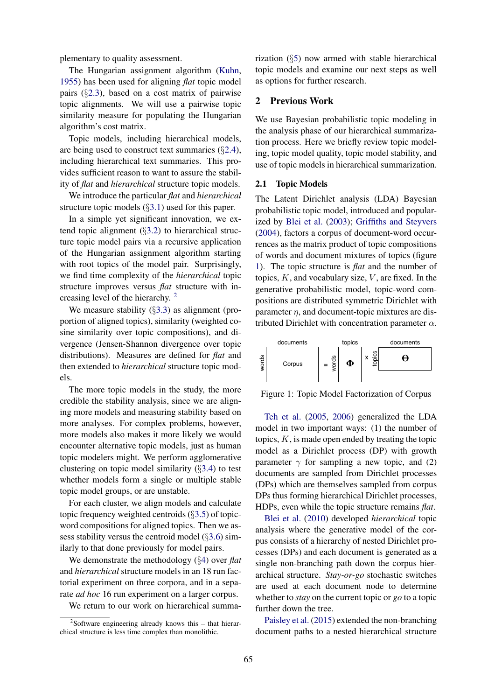plementary to quality assessment.

The Hungarian assignment algorithm (Kuhn, 1955) has been used for aligning *flat* topic model pairs (§2.3), based on a cost matrix of pairwise topic alignments. We will use a pairwise topic similarity measure for populating the Hungarian algorithm's cost matrix.

Topic models, including hierarchical models, are being used to construct text summaries (§2.4), including hierarchical text summaries. This provides sufficient reason to want to assure the stability of *flat* and *hierarchical* structure topic models.

We introduce the particular *flat* and *hierarchical* structure topic models (§3.1) used for this paper.

In a simple yet significant innovation, we extend topic alignment  $(\S3.2)$  to hierarchical structure topic model pairs via a recursive application of the Hungarian assignment algorithm starting with root topics of the model pair. Surprisingly, we find time complexity of the *hierarchical* topic structure improves versus *flat* structure with increasing level of the hierarchy. <sup>2</sup>

We measure stability  $(\S3.3)$  as alignment (proportion of aligned topics), similarity (weighted cosine similarity over topic compositions), and divergence (Jensen-Shannon divergence over topic distributions). Measures are defined for *flat* and then extended to *hierarchical* structure topic models.

The more topic models in the study, the more credible the stability analysis, since we are aligning more models and measuring stability based on more analyses. For complex problems, however, more models also makes it more likely we would encounter alternative topic models, just as human topic modelers might. We perform agglomerative clustering on topic model similarity (§3.4) to test whether models form a single or multiple stable topic model groups, or are unstable.

For each cluster, we align models and calculate topic frequency weighted centroids (§3.5) of topicword compositions for aligned topics. Then we assess stability versus the centroid model (§3.6) similarly to that done previously for model pairs.

We demonstrate the methodology (§4) over *flat* and *hierarchical* structure models in an 18 run factorial experiment on three corpora, and in a separate *ad hoc* 16 run experiment on a larger corpus.

We return to our work on hierarchical summa-

 $2$ Software engineering already knows this  $-$  that hierarchical structure is less time complex than monolithic.

rization (§5) now armed with stable hierarchical topic models and examine our next steps as well as options for further research.

# 2 Previous Work

We use Bayesian probabilistic topic modeling in the analysis phase of our hierarchical summarization process. Here we briefly review topic modeling, topic model quality, topic model stability, and use of topic models in hierarchical summarization.

#### 2.1 Topic Models

The Latent Dirichlet analysis (LDA) Bayesian probabilistic topic model, introduced and popularized by Blei et al. (2003); Griffiths and Steyvers (2004), factors a corpus of document-word occurrences as the matrix product of topic compositions of words and document mixtures of topics (figure 1). The topic structure is *flat* and the number of topics,  $K$ , and vocabulary size,  $V$ , are fixed. In the generative probabilistic model, topic-word compositions are distributed symmetric Dirichlet with parameter  $\eta$ , and document-topic mixtures are distributed Dirichlet with concentration parameter  $\alpha$ .



Figure 1: Topic Model Factorization of Corpus

Teh et al. (2005, 2006) generalized the LDA model in two important ways: (1) the number of topics,  $K$ , is made open ended by treating the topic model as a Dirichlet process (DP) with growth parameter  $\gamma$  for sampling a new topic, and (2) documents are sampled from Dirichlet processes (DPs) which are themselves sampled from corpus DPs thus forming hierarchical Dirichlet processes, HDPs, even while the topic structure remains *flat*.

Blei et al. (2010) developed *hierarchical* topic analysis where the generative model of the corpus consists of a hierarchy of nested Dirichlet processes (DPs) and each document is generated as a single non-branching path down the corpus hierarchical structure. *Stay-or-go* stochastic switches are used at each document node to determine whether to *stay* on the current topic or *go* to a topic further down the tree.

Paisley et al. (2015) extended the non-branching document paths to a nested hierarchical structure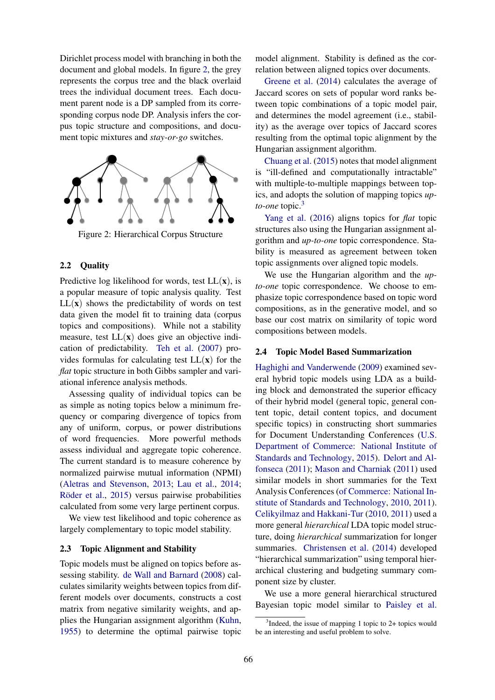Dirichlet process model with branching in both the document and global models. In figure 2, the grey represents the corpus tree and the black overlaid trees the individual document trees. Each document parent node is a DP sampled from its corresponding corpus node DP. Analysis infers the corpus topic structure and compositions, and document topic mixtures and *stay-or-go* switches.



Figure 2: Hierarchical Corpus Structure

# 2.2 Quality

Predictive log likelihood for words, test  $LL(x)$ , is a popular measure of topic analysis quality. Test  $LL(x)$  shows the predictability of words on test data given the model fit to training data (corpus topics and compositions). While not a stability measure, test  $LL(x)$  does give an objective indication of predictability. Teh et al. (2007) provides formulas for calculating test  $LL(x)$  for the *flat* topic structure in both Gibbs sampler and variational inference analysis methods.

Assessing quality of individual topics can be as simple as noting topics below a minimum frequency or comparing divergence of topics from any of uniform, corpus, or power distributions of word frequencies. More powerful methods assess individual and aggregate topic coherence. The current standard is to measure coherence by normalized pairwise mutual information (NPMI) (Aletras and Stevenson, 2013; Lau et al., 2014; Röder et al., 2015) versus pairwise probabilities calculated from some very large pertinent corpus.

We view test likelihood and topic coherence as largely complementary to topic model stability.

#### 2.3 Topic Alignment and Stability

Topic models must be aligned on topics before assessing stability. de Wall and Barnard (2008) calculates similarity weights between topics from different models over documents, constructs a cost matrix from negative similarity weights, and applies the Hungarian assignment algorithm (Kuhn, 1955) to determine the optimal pairwise topic

model alignment. Stability is defined as the correlation between aligned topics over documents.

Greene et al. (2014) calculates the average of Jaccard scores on sets of popular word ranks between topic combinations of a topic model pair, and determines the model agreement (i.e., stability) as the average over topics of Jaccard scores resulting from the optimal topic alignment by the Hungarian assignment algorithm.

Chuang et al. (2015) notes that model alignment is "ill-defined and computationally intractable" with multiple-to-multiple mappings between topics, and adopts the solution of mapping topics *upto-one* topic.<sup>3</sup>

Yang et al. (2016) aligns topics for *flat* topic structures also using the Hungarian assignment algorithm and *up-to-one* topic correspondence. Stability is measured as agreement between token topic assignments over aligned topic models.

We use the Hungarian algorithm and the *upto-one* topic correspondence. We choose to emphasize topic correspondence based on topic word compositions, as in the generative model, and so base our cost matrix on similarity of topic word compositions between models.

### 2.4 Topic Model Based Summarization

Haghighi and Vanderwende (2009) examined several hybrid topic models using LDA as a building block and demonstrated the superior efficacy of their hybrid model (general topic, general content topic, detail content topics, and document specific topics) in constructing short summaries for Document Understanding Conferences (U.S. Department of Commerce: National Institute of Standards and Technology, 2015). Delort and Alfonseca (2011); Mason and Charniak (2011) used similar models in short summaries for the Text Analysis Conferences (of Commerce: National Institute of Standards and Technology, 2010, 2011). Celikyilmaz and Hakkani-Tur (2010, 2011) used a more general *hierarchical* LDA topic model structure, doing *hierarchical* summarization for longer summaries. Christensen et al. (2014) developed "hierarchical summarization" using temporal hierarchical clustering and budgeting summary component size by cluster.

We use a more general hierarchical structured Bayesian topic model similar to Paisley et al.

<sup>&</sup>lt;sup>3</sup>Indeed, the issue of mapping 1 topic to 2+ topics would be an interesting and useful problem to solve.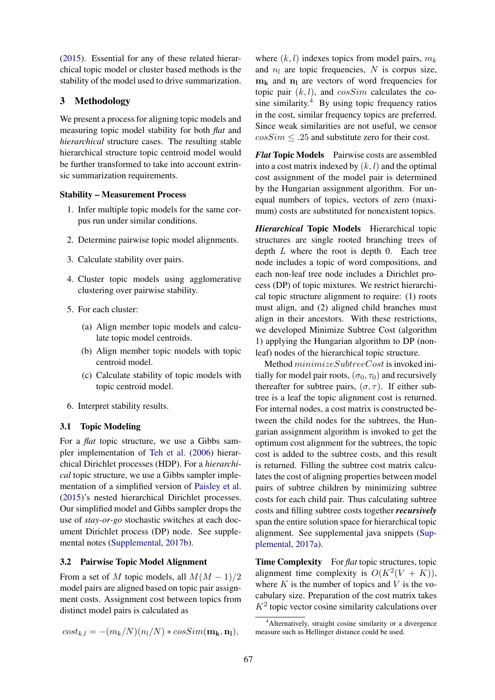(2015). Essential for any of these related hierarchical topic model or cluster based methods is the stability of the model used to drive summarization.

# 3 Methodology

We present a process for aligning topic models and measuring topic model stability for both *flat* and *hierarchical* structure cases. The resulting stable hierarchical structure topic centroid model would be further transformed to take into account extrinsic summarization requirements.

# Stability – Measurement Process

- 1. Infer multiple topic models for the same corpus run under similar conditions.
- 2. Determine pairwise topic model alignments.
- 3. Calculate stability over pairs.
- 4. Cluster topic models using agglomerative clustering over pairwise stability.
- 5. For each cluster:
	- (a) Align member topic models and calculate topic model centroids.
	- (b) Align member topic models with topic centroid model.
	- (c) Calculate stability of topic models with topic centroid model.
- 6. Interpret stability results.

#### 3.1 Topic Modeling

For a *flat* topic structure, we use a Gibbs sampler implementation of Teh et al. (2006) hierarchical Dirichlet processes (HDP). For a *hierarchical* topic structure, we use a Gibbs sampler implementation of a simplified version of Paisley et al. (2015)'s nested hierarchical Dirichlet processes. Our simplified model and Gibbs sampler drops the use of *stay-or-go* stochastic switches at each document Dirichlet process (DP) node. See supplemental notes (Supplemental, 2017b).

#### 3.2 Pairwise Topic Model Alignment

From a set of M topic models, all  $M(M-1)/2$ model pairs are aligned based on topic pair assignment costs. Assignment cost between topics from distinct model pairs is calculated as

$$
cost_{k,l} = -(m_k/N)(n_l/N) * cosSim(\mathbf{m_k}, \mathbf{n_l}),
$$

where  $(k, l)$  indexes topics from model pairs,  $m_k$ and  $n_l$  are topic frequencies, N is corpus size,  $m_k$  and  $n_l$  are vectors of word frequencies for topic pair  $(k, l)$ , and  $cosSim$  calculates the cosine similarity. $4$  By using topic frequency ratios in the cost, similar frequency topics are preferred. Since weak similarities are not useful, we censor  $cosSim \leq .25$  and substitute zero for their cost.

*Flat* Topic Models Pairwise costs are assembled into a cost matrix indexed by  $(k, l)$  and the optimal cost assignment of the model pair is determined by the Hungarian assignment algorithm. For unequal numbers of topics, vectors of zero (maximum) costs are substituted for nonexistent topics.

*Hierarchical* Topic Models Hierarchical topic structures are single rooted branching trees of depth  $L$  where the root is depth 0. Each tree node includes a topic of word compositions, and each non-leaf tree node includes a Dirichlet process (DP) of topic mixtures. We restrict hierarchical topic structure alignment to require: (1) roots must align, and (2) aligned child branches must align in their ancestors. With these restrictions, we developed Minimize Subtree Cost (algorithm 1) applying the Hungarian algorithm to DP (nonleaf) nodes of the hierarchical topic structure.

Method minimizeSubtreeCost is invoked initially for model pair roots,  $(\sigma_0, \tau_0)$  and recursively thereafter for subtree pairs,  $(\sigma, \tau)$ . If either subtree is a leaf the topic alignment cost is returned. For internal nodes, a cost matrix is constructed between the child nodes for the subtrees, the Hungarian assignment algorithm is invoked to get the optimum cost alignment for the subtrees, the topic cost is added to the subtree costs, and this result is returned. Filling the subtree cost matrix calculates the cost of aligning properties between model pairs of subtree children by minimizing subtree costs for each child pair. Thus calculating subtree costs and filling subtree costs together *recursively* span the entire solution space for hierarchical topic alignment. See supplemental java snippets (Supplemental, 2017a).

Time Complexity For *flat* topic structures, topic alignment time complexity is  $O(K^2(V + K))$ , where  $K$  is the number of topics and  $V$  is the vocabulary size. Preparation of the cost matrix takes  $K<sup>2</sup>$  topic vector cosine similarity calculations over

<sup>4</sup>Alternatively, straight cosine similarity or a divergence measure such as Hellinger distance could be used.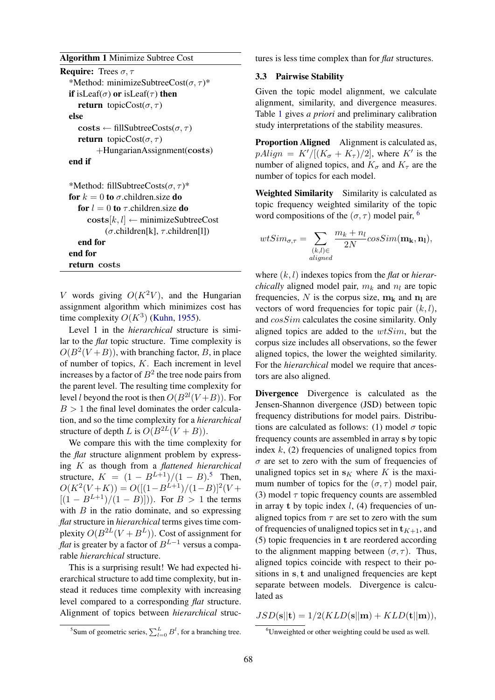Algorithm 1 Minimize Subtree Cost

```
Require: Trees \sigma, \tau*Method: minimizeSubtreeCost(\sigma, \tau)*
if isLeaf(\sigma) or isLeaf(\tau) then
   return topicCost(\sigma, \tau)else
   \text{costs} \leftarrow \text{fillSubtreeCosts}(\sigma, \tau)return topicCost(\sigma, \tau)
         +HungarianAssignment(costs)
end if
*Method: fillSubtreeCosts(\sigma, \tau)^*for k = 0 to \sigma children.size do
   for l = 0 to \tau children.size do
      \textbf{costs}[k, l] \leftarrow \text{minimize}SubtreeCost
            (\sigma.children[k], \tau.children[l])
   end for
end for
return costs
```
V words giving  $O(K^2V)$ , and the Hungarian assignment algorithm which minimizes cost has time complexity  $O(K^3)$  (Kuhn, 1955).

Level 1 in the *hierarchical* structure is similar to the *flat* topic structure. Time complexity is  $O(B<sup>2</sup>(V+B))$ , with branching factor, B, in place of number of topics, K. Each increment in level increases by a factor of  $B^2$  the tree node pairs from the parent level. The resulting time complexity for level *l* beyond the root is then  $O(B^{2l}(V+B))$ . For  $B > 1$  the final level dominates the order calculation, and so the time complexity for a *hierarchical* structure of depth L is  $O(B^{2L}(V + B)).$ 

We compare this with the time complexity for the *flat* structure alignment problem by expressing K as though from a *flattened hierarchical* structure,  $K = (1 - B^{L+1})/(1 - B)^5$ . Then,  $O(K^2(V+K)) = O([(1-B^{L+1})/(1-B)]^2(V+K))$  $[(1 - B^{L+1})/(1 - B)]$ ). For  $B > 1$  the terms with  $B$  in the ratio dominate, and so expressing *flat* structure in *hierarchical* terms gives time complexity  $O(B^{2L}(V + B^{L}))$ . Cost of assignment for *flat* is greater by a factor of  $B^{L-1}$  versus a comparable *hierarchical* structure.

This is a surprising result! We had expected hierarchical structure to add time complexity, but instead it reduces time complexity with increasing level compared to a corresponding *flat* structure. Alignment of topics between *hierarchical* structures is less time complex than for *flat* structures.

### 3.3 Pairwise Stability

Given the topic model alignment, we calculate alignment, similarity, and divergence measures. Table 1 gives *a priori* and preliminary calibration study interpretations of the stability measures.

Proportion Aligned Alignment is calculated as,  $pAlign = K'/[(K_{\sigma} + K_{\tau})/2]$ , where K' is the number of aligned topics, and  $K_{\tau}$  and  $K_{\tau}$  are the number of topics for each model.

Weighted Similarity Similarity is calculated as topic frequency weighted similarity of the topic word compositions of the  $(\sigma, \tau)$  model pair, <sup>6</sup>

$$
wtSim_{\sigma,\tau} = \sum_{\substack{(k,l)\in\\aligned}} \frac{m_k + n_l}{2N} cosSim(\mathbf{m_k}, \mathbf{n_l}),
$$

where (k, l) indexes topics from the *flat* or *hierarchically* aligned model pair,  $m_k$  and  $n_l$  are topic frequencies, N is the corpus size,  $m_k$  and  $n_l$  are vectors of word frequencies for topic pair  $(k, l)$ , and cosSim calculates the cosine similarity. Only aligned topics are added to the  $wtSim$ , but the corpus size includes all observations, so the fewer aligned topics, the lower the weighted similarity. For the *hierarchical* model we require that ancestors are also aligned.

Divergence Divergence is calculated as the Jensen-Shannon divergence (JSD) between topic frequency distributions for model pairs. Distributions are calculated as follows: (1) model  $\sigma$  topic frequency counts are assembled in array s by topic index  $k$ , (2) frequencies of unaligned topics from  $\sigma$  are set to zero with the sum of frequencies of unaligned topics set in  $s<sub>K</sub>$  where K is the maximum number of topics for the  $(\sigma, \tau)$  model pair, (3) model  $\tau$  topic frequency counts are assembled in array t by topic index  $l$ , (4) frequencies of unaligned topics from  $\tau$  are set to zero with the sum of frequencies of unaligned topics set in  $t_{K+1}$ , and (5) topic frequencies in t are reordered according to the alignment mapping between  $(\sigma, \tau)$ . Thus, aligned topics coincide with respect to their positions in s, t and unaligned frequencies are kept separate between models. Divergence is calculated as

 $JSD(s||t) = 1/2(KLD(s||m) + KLD(t||m)),$ 

<sup>&</sup>lt;sup>5</sup>Sum of geometric series,  $\sum_{l=0}^{L} B^{l}$ , for a branching tree.

<sup>&</sup>lt;sup>6</sup>Unweighted or other weighting could be used as well.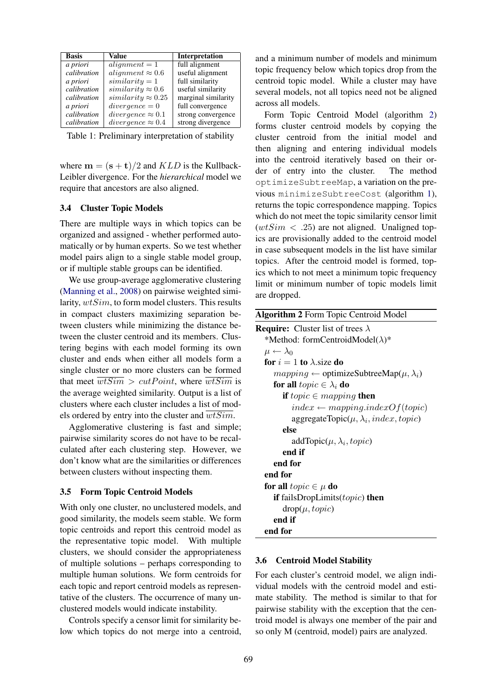| <b>Basis</b> | Value                     | <b>Interpretation</b> |
|--------------|---------------------------|-----------------------|
| a priori     | $alignment = 1$           | full alignment        |
| calibration  | alignment $\approx 0.6$   | useful alignment      |
| a priori     | $similarity = 1$          | full similarity       |
| calibration  | $similarity \approx 0.6$  | useful similarity     |
| calibration  | $similarity \approx 0.25$ | marginal similarity   |
| a priori     | $divergence = 0$          | full convergence      |
| calibration  | $divergence \approx 0.1$  | strong convergence    |
| calibration  | divergence $\approx 0.4$  | strong divergence     |

Table 1: Preliminary interpretation of stability

where  $\mathbf{m} = (\mathbf{s} + \mathbf{t})/2$  and  $KLD$  is the Kullback-Leibler divergence. For the *hierarchical* model we require that ancestors are also aligned.

# 3.4 Cluster Topic Models

There are multiple ways in which topics can be organized and assigned - whether performed automatically or by human experts. So we test whether model pairs align to a single stable model group, or if multiple stable groups can be identified.

We use group-average agglomerative clustering (Manning et al., 2008) on pairwise weighted similarity,  $wtSim$ , to form model clusters. This results in compact clusters maximizing separation between clusters while minimizing the distance between the cluster centroid and its members. Clustering begins with each model forming its own cluster and ends when either all models form a single cluster or no more clusters can be formed that meet  $\overline{wtSim} > cutPoint$ , where  $\overline{wtSim}$  is the average weighted similarity. Output is a list of clusters where each cluster includes a list of models ordered by entry into the cluster and  $\overline{wtSim}$ .

Agglomerative clustering is fast and simple; pairwise similarity scores do not have to be recalculated after each clustering step. However, we don't know what are the similarities or differences between clusters without inspecting them.

#### 3.5 Form Topic Centroid Models

With only one cluster, no unclustered models, and good similarity, the models seem stable. We form topic centroids and report this centroid model as the representative topic model. With multiple clusters, we should consider the appropriateness of multiple solutions – perhaps corresponding to multiple human solutions. We form centroids for each topic and report centroid models as representative of the clusters. The occurrence of many unclustered models would indicate instability.

Controls specify a censor limit for similarity below which topics do not merge into a centroid, and a minimum number of models and minimum topic frequency below which topics drop from the centroid topic model. While a cluster may have several models, not all topics need not be aligned across all models.

Form Topic Centroid Model (algorithm 2) forms cluster centroid models by copying the cluster centroid from the initial model and then aligning and entering individual models into the centroid iteratively based on their order of entry into the cluster. The method optimizeSubtreeMap, a variation on the previous minimizeSubtreeCost (algorithm 1), returns the topic correspondence mapping. Topics which do not meet the topic similarity censor limit  $(wtSim < .25)$  are not aligned. Unaligned topics are provisionally added to the centroid model in case subsequent models in the list have similar topics. After the centroid model is formed, topics which to not meet a minimum topic frequency limit or minimum number of topic models limit are dropped.

| <b>Algorithm 2</b> Form Topic Centroid Model                |  |  |  |  |
|-------------------------------------------------------------|--|--|--|--|
| <b>Require:</b> Cluster list of trees $\lambda$             |  |  |  |  |
| *Method: formCentroidModel( $\lambda$ )*                    |  |  |  |  |
| $\mu \leftarrow \lambda_0$                                  |  |  |  |  |
| for $i = 1$ to $\lambda$ size do                            |  |  |  |  |
| $mapping \leftarrow$ optimizeSubtreeMap( $\mu, \lambda_i$ ) |  |  |  |  |
| for all $topic \in \lambda_i$ do                            |  |  |  |  |
| <b>if</b> topic $\in$ mapping <b>then</b>                   |  |  |  |  |
| $index \leftarrow mapping.indexOf(topic)$                   |  |  |  |  |
| aggregateTopic( $\mu, \lambda_i$ , index, topic)            |  |  |  |  |
| else                                                        |  |  |  |  |
| addTopic $(\mu, \lambda_i, topic)$                          |  |  |  |  |
| end if                                                      |  |  |  |  |
| end for                                                     |  |  |  |  |
| end for                                                     |  |  |  |  |
| for all $topic \in \mu$ do                                  |  |  |  |  |
| <b>if</b> failsDropLimits $(topic)$ then                    |  |  |  |  |
| $drop(\mu, topic)$                                          |  |  |  |  |
| end if                                                      |  |  |  |  |
| end for                                                     |  |  |  |  |

### 3.6 Centroid Model Stability

For each cluster's centroid model, we align individual models with the centroid model and estimate stability. The method is similar to that for pairwise stability with the exception that the centroid model is always one member of the pair and so only M (centroid, model) pairs are analyzed.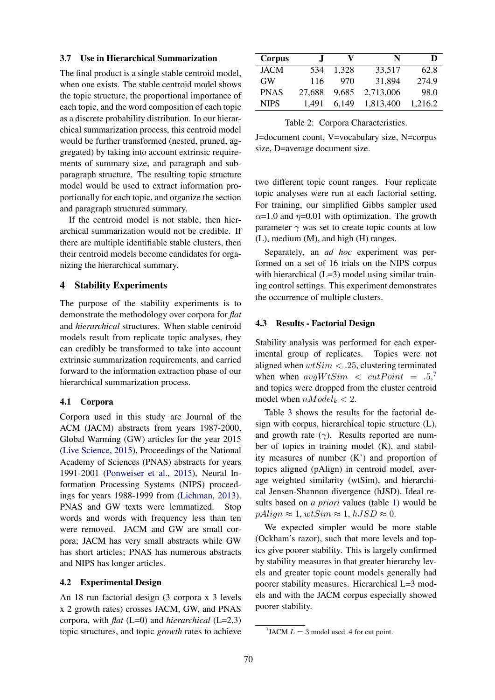# 3.7 Use in Hierarchical Summarization

The final product is a single stable centroid model, when one exists. The stable centroid model shows the topic structure, the proportional importance of each topic, and the word composition of each topic as a discrete probability distribution. In our hierarchical summarization process, this centroid model would be further transformed (nested, pruned, aggregated) by taking into account extrinsic requirements of summary size, and paragraph and subparagraph structure. The resulting topic structure model would be used to extract information proportionally for each topic, and organize the section and paragraph structured summary.

If the centroid model is not stable, then hierarchical summarization would not be credible. If there are multiple identifiable stable clusters, then their centroid models become candidates for organizing the hierarchical summary.

# 4 Stability Experiments

The purpose of the stability experiments is to demonstrate the methodology over corpora for *flat* and *hierarchical* structures. When stable centroid models result from replicate topic analyses, they can credibly be transformed to take into account extrinsic summarization requirements, and carried forward to the information extraction phase of our hierarchical summarization process.

# 4.1 Corpora

Corpora used in this study are Journal of the ACM (JACM) abstracts from years 1987-2000, Global Warming (GW) articles for the year 2015 (Live Science, 2015), Proceedings of the National Academy of Sciences (PNAS) abstracts for years 1991-2001 (Ponweiser et al., 2015), Neural Information Processing Systems (NIPS) proceedings for years 1988-1999 from (Lichman, 2013). PNAS and GW texts were lemmatized. Stop words and words with frequency less than ten were removed. JACM and GW are small corpora; JACM has very small abstracts while GW has short articles; PNAS has numerous abstracts and NIPS has longer articles.

#### 4.2 Experimental Design

An 18 run factorial design (3 corpora x 3 levels x 2 growth rates) crosses JACM, GW, and PNAS corpora, with *flat* (L=0) and *hierarchical* (L=2,3) topic structures, and topic *growth* rates to achieve

| Corpus      | J.     | v     | N         | D       |
|-------------|--------|-------|-----------|---------|
| <b>JACM</b> | 534    | 1.328 | 33,517    | 62.8    |
| <b>GW</b>   | 116    | 970   | 31,894    | 274.9   |
| <b>PNAS</b> | 27,688 | 9,685 | 2,713,006 | 98.0    |
| <b>NIPS</b> | 1.491  | 6.149 | 1,813,400 | 1,216.2 |

Table 2: Corpora Characteristics.

J=document count, V=vocabulary size, N=corpus size, D=average document size.

two different topic count ranges. Four replicate topic analyses were run at each factorial setting. For training, our simplified Gibbs sampler used  $\alpha$ =1.0 and  $\eta$ =0.01 with optimization. The growth parameter  $\gamma$  was set to create topic counts at low (L), medium (M), and high (H) ranges.

Separately, an *ad hoc* experiment was performed on a set of 16 trials on the NIPS corpus with hierarchical  $(L=3)$  model using similar training control settings. This experiment demonstrates the occurrence of multiple clusters.

### 4.3 Results - Factorial Design

Stability analysis was performed for each experimental group of replicates. Topics were not aligned when  $wtSim < .25$ , clustering terminated when when  $avgW tSim \le cut Point = .5, ^7$ and topics were dropped from the cluster centroid model when  $nModel_k < 2$ .

Table 3 shows the results for the factorial design with corpus, hierarchical topic structure (L), and growth rate  $(\gamma)$ . Results reported are number of topics in training model (K), and stability measures of number (K') and proportion of topics aligned (pAlign) in centroid model, average weighted similarity (wtSim), and hierarchical Jensen-Shannon divergence (hJSD). Ideal results based on *a priori* values (table 1) would be  $p\text{Align} \approx 1, wtSim \approx 1, hJSD \approx 0.$ 

We expected simpler would be more stable (Ockham's razor), such that more levels and topics give poorer stability. This is largely confirmed by stability measures in that greater hierarchy levels and greater topic count models generally had poorer stability measures. Hierarchical L=3 models and with the JACM corpus especially showed poorer stability.

<sup>&</sup>lt;sup>7</sup> JACM  $L = 3$  model used .4 for cut point.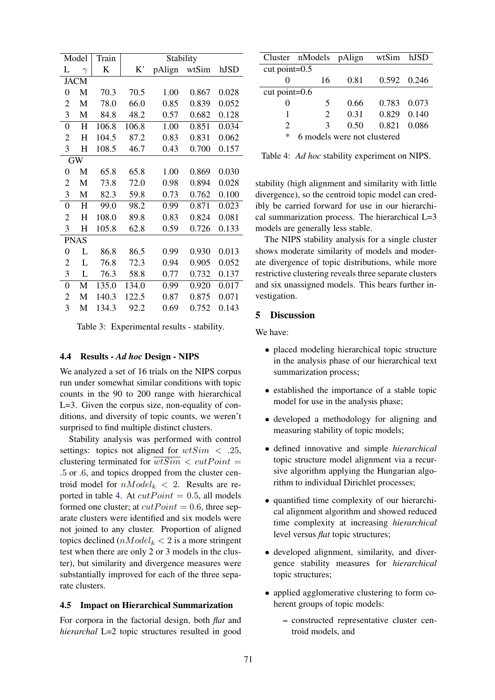|                | Model       | Train   | Stability |        |       |       |
|----------------|-------------|---------|-----------|--------|-------|-------|
| L              | $\gamma$    | $\bf K$ | K,        | pAlign | wtSim | hJSD  |
|                | <b>JACM</b> |         |           |        |       |       |
| 0              | M           | 70.3    | 70.5      | 1.00   | 0.867 | 0.028 |
| 2              | M           | 78.0    | 66.0      | 0.85   | 0.839 | 0.052 |
| 3              | М           | 84.8    | 48.2      | 0.57   | 0.682 | 0.128 |
| 0              | H           | 106.8   | 106.8     | 1.00   | 0.851 | 0.034 |
| 2              | $H_{\rm}$   | 104.5   | 87.2      | 0.83   | 0.831 | 0.062 |
| 3              | Н           | 108.5   | 46.7      | 0.43   | 0.700 | 0.157 |
|                | <b>GW</b>   |         |           |        |       |       |
| 0              | M           | 65.8    | 65.8      | 1.00   | 0.869 | 0.030 |
| 2              | M           | 73.8    | 72.0      | 0.98   | 0.894 | 0.028 |
| 3              | М           | 82.3    | 59.8      | 0.73   | 0.762 | 0.100 |
| 0              | H           | 99.0    | 98.2      | 0.99   | 0.871 | 0.023 |
| $\overline{c}$ | H           | 108.0   | 89.8      | 0.83   | 0.824 | 0.081 |
| 3              | $H_{\rm}$   | 105.8   | 62.8      | 0.59   | 0.726 | 0.133 |
|                | <b>PNAS</b> |         |           |        |       |       |
| $\theta$       | L           | 86.8    | 86.5      | 0.99   | 0.930 | 0.013 |
| 2              | L           | 76.8    | 72.3      | 0.94   | 0.905 | 0.052 |
| 3              | L           | 76.3    | 58.8      | 0.77   | 0.732 | 0.137 |
| 0              | M           | 135.0   | 134.0     | 0.99   | 0.920 | 0.017 |
| 2              | M           | 140.3   | 122.5     | 0.87   | 0.875 | 0.071 |
| 3              | M           | 134.3   | 92.2      | 0.69   | 0.752 | 0.143 |

Table 3: Experimental results - stability.

# 4.4 Results - *Ad hoc* Design - NIPS

We analyzed a set of 16 trials on the NIPS corpus run under somewhat similar conditions with topic counts in the 90 to 200 range with hierarchical L=3. Given the corpus size, non-equality of conditions, and diversity of topic counts, we weren't surprised to find multiple distinct clusters.

Stability analysis was performed with control settings: topics not aligned for  $wtSim < .25$ , clustering terminated for  $\overline{wtSim} < cutPoint$ .5 or .6, and topics dropped from the cluster centroid model for  $nModel_k < 2$ . Results are reported in table 4. At  $cutPoint = 0.5$ , all models formed one cluster; at  $cutPoint = 0.6$ , three separate clusters were identified and six models were not joined to any cluster. Proportion of aligned topics declined  $(nModel_k < 2$  is a more stringent test when there are only 2 or 3 models in the cluster), but similarity and divergence measures were substantially improved for each of the three separate clusters.

# 4.5 Impact on Hierarchical Summarization

For corpora in the factorial design, both *flat* and *hierarchal* L=2 topic structures resulted in good

|                                  | Cluster nModels pAlign |      | wtSim hJSD  |       |  |
|----------------------------------|------------------------|------|-------------|-------|--|
| cut point= $0.5$                 |                        |      |             |       |  |
|                                  | 16                     | 0.81 | 0.592 0.246 |       |  |
| cut point= $0.6$                 |                        |      |             |       |  |
|                                  | 5                      | 0.66 | 0.783 0.073 |       |  |
| 1                                | $\mathcal{D}_{\cdot}$  | 0.31 | 0.829       | 0.140 |  |
| $\mathcal{D}_{\cdot}$            | κ                      | 0.50 | 0.821       | 0.086 |  |
| ∗<br>6 models were not clustered |                        |      |             |       |  |

Table 4: *Ad hoc* stability experiment on NIPS.

stability (high alignment and similarity with little divergence), so the centroid topic model can credibly be carried forward for use in our hierarchical summarization process. The hierarchical L=3 models are generally less stable.

The NIPS stability analysis for a single cluster shows moderate similarity of models and moderate divergence of topic distributions, while more restrictive clustering reveals three separate clusters and six unassigned models. This bears further investigation.

# 5 Discussion

We have:

- placed modeling hierarchical topic structure in the analysis phase of our hierarchical text summarization process;
- established the importance of a stable topic model for use in the analysis phase;
- developed a methodology for aligning and measuring stability of topic models;
- defined innovative and simple *hierarchical* topic structure model alignment via a recursive algorithm applying the Hungarian algorithm to individual Dirichlet processes;
- quantified time complexity of our hierarchical alignment algorithm and showed reduced time complexity at increasing *hierarchical* level versus *flat* topic structures;
- developed alignment, similarity, and divergence stability measures for *hierarchical* topic structures;
- applied agglomerative clustering to form coherent groups of topic models:
	- constructed representative cluster centroid models, and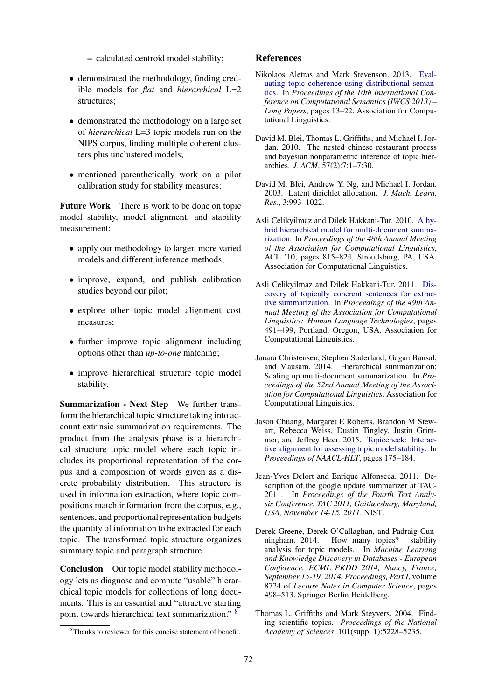- calculated centroid model stability;
- demonstrated the methodology, finding credible models for *flat* and *hierarchical* L=2 structures;
- demonstrated the methodology on a large set of *hierarchical* L=3 topic models run on the NIPS corpus, finding multiple coherent clusters plus unclustered models;
- mentioned parenthetically work on a pilot calibration study for stability measures;

Future Work There is work to be done on topic model stability, model alignment, and stability measurement:

- apply our methodology to larger, more varied models and different inference methods;
- improve, expand, and publish calibration studies beyond our pilot;
- explore other topic model alignment cost measures;
- further improve topic alignment including options other than *up-to-one* matching;
- improve hierarchical structure topic model stability.

Summarization - Next Step We further transform the hierarchical topic structure taking into account extrinsic summarization requirements. The product from the analysis phase is a hierarchical structure topic model where each topic includes its proportional representation of the corpus and a composition of words given as a discrete probability distribution. This structure is used in information extraction, where topic compositions match information from the corpus, e.g., sentences, and proportional representation budgets the quantity of information to be extracted for each topic. The transformed topic structure organizes summary topic and paragraph structure.

Conclusion Our topic model stability methodology lets us diagnose and compute "usable" hierarchical topic models for collections of long documents. This is an essential and "attractive starting point towards hierarchical text summarization." <sup>8</sup>

### References

- Nikolaos Aletras and Mark Stevenson. 2013. Evaluating topic coherence using distributional semantics. In *Proceedings of the 10th International Conference on Computational Semantics (IWCS 2013) – Long Papers*, pages 13–22. Association for Computational Linguistics.
- David M. Blei, Thomas L. Griffiths, and Michael I. Jordan. 2010. The nested chinese restaurant process and bayesian nonparametric inference of topic hierarchies. *J. ACM*, 57(2):7:1–7:30.
- David M. Blei, Andrew Y. Ng, and Michael I. Jordan. 2003. Latent dirichlet allocation. *J. Mach. Learn. Res.*, 3:993–1022.
- Asli Celikyilmaz and Dilek Hakkani-Tur. 2010. A hybrid hierarchical model for multi-document summarization. In *Proceedings of the 48th Annual Meeting of the Association for Computational Linguistics*, ACL '10, pages 815–824, Stroudsburg, PA, USA. Association for Computational Linguistics.
- Asli Celikyilmaz and Dilek Hakkani-Tur. 2011. Discovery of topically coherent sentences for extractive summarization. In *Proceedings of the 49th Annual Meeting of the Association for Computational Linguistics: Human Language Technologies*, pages 491–499, Portland, Oregon, USA. Association for Computational Linguistics.
- Janara Christensen, Stephen Soderland, Gagan Bansal, and Mausam. 2014. Hierarchical summarization: Scaling up multi-document summarization. In *Proceedings of the 52nd Annual Meeting of the Association for Computational Linguistics*. Association for Computational Linguistics.
- Jason Chuang, Margaret E Roberts, Brandon M Stewart, Rebecca Weiss, Dustin Tingley, Justin Grimmer, and Jeffrey Heer. 2015. Topiccheck: Interactive alignment for assessing topic model stability. In *Proceedings of NAACL-HLT*, pages 175–184.
- Jean-Yves Delort and Enrique Alfonseca. 2011. Description of the google update summarizer at TAC-2011. In *Proceedings of the Fourth Text Analysis Conference, TAC 2011, Gaithersburg, Maryland, USA, November 14-15, 2011*. NIST.
- Derek Greene, Derek O'Callaghan, and Padraig Cunningham. 2014. How many topics? stability analysis for topic models. In *Machine Learning and Knowledge Discovery in Databases - European Conference, ECML PKDD 2014, Nancy, France, September 15-19, 2014. Proceedings, Part I*, volume 8724 of *Lecture Notes in Computer Science*, pages 498–513. Springer Berlin Heidelberg.
- Thomas L. Griffiths and Mark Steyvers. 2004. Finding scientific topics. *Proceedings of the National Academy of Sciences*, 101(suppl 1):5228–5235.

<sup>&</sup>lt;sup>8</sup>Thanks to reviewer for this concise statement of benefit.